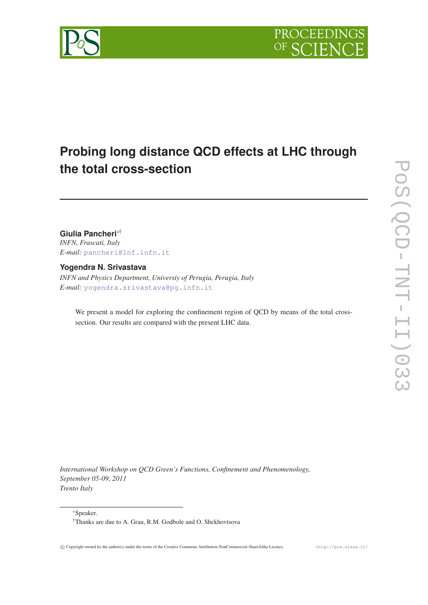

# **Probing long distance QCD effects at LHC through the total cross-section**

**Giulia Pancheri**∗† *INFN, Frascati, Italy E-mail:* [pancheri@lnf.infn.it](mailto:pancheri@lnf.infn.it)

**Yogendra N. Srivastava**

*INFN and Physics Department, Universiy of Perugia, Perugia, Italy E-mail:* [yogendra.srivastava@pg.infn.it](mailto:yogendra.srivastava@pg.infn.it)

We present a model for exploring the confinement region of QCD by means of the total crosssection. Our results are compared with the present LHC data.

*International Workshop on QCD Green's Functions, Confinement and Phenomenology, September 05-09, 2011 Trento Italy*

<sup>∗</sup>Speaker.

<sup>†</sup>Thanks are due to A. Grau, R.M. Godbole and O. Shekhovtsova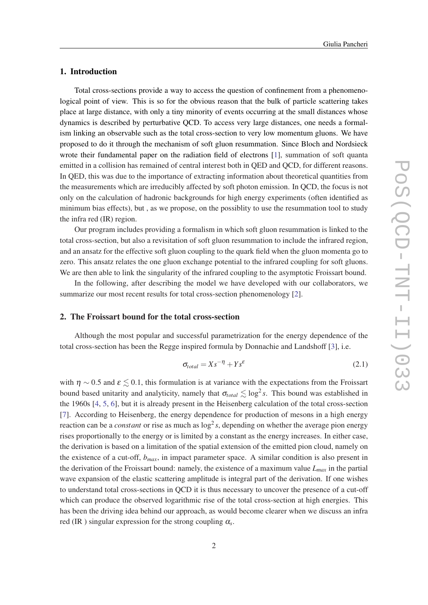### 1. Introduction

Total cross-sections provide a way to access the question of confinement from a phenomenological point of view. This is so for the obvious reason that the bulk of particle scattering takes place at large distance, with only a tiny minority of events occurring at the small distances whose dynamics is described by perturbative QCD. To access very large distances, one needs a formalism linking an observable such as the total cross-section to very low momentum gluons. We have proposed to do it through the mechanism of soft gluon resummation. Since Bloch and Nordsieck wrote their fundamental paper on the radiation field of electrons [[1](#page-7-0)], summation of soft quanta emitted in a collision has remained of central interest both in QED and QCD, for different reasons. In QED, this was due to the importance of extracting information about theoretical quantities from the measurements which are irreducibly affected by soft photon emission. In QCD, the focus is not only on the calculation of hadronic backgrounds for high energy experiments (often identified as minimum bias effects), but , as we propose, on the possiblity to use the resummation tool to study the infra red (IR) region.

Our program includes providing a formalism in which soft gluon resummation is linked to the total cross-section, but also a revisitation of soft gluon resummation to include the infrared region, and an ansatz for the effective soft gluon coupling to the quark field when the gluon momenta go to zero. This ansatz relates the one gluon exchange potential to the infrared coupling for soft gluons. We are then able to link the singularity of the infrared coupling to the asymptotic Froissart bound.

In the following, after describing the model we have developed with our collaborators, we summarize our most recent results for total cross-section phenomenology [[2](#page-7-0)].

#### 2. The Froissart bound for the total cross-section

Although the most popular and successful parametrization for the energy dependence of the total cross-section has been the Regge inspired formula by Donnachie and Landshoff [\[3\]](#page-7-0), i.e.

$$
\sigma_{total} = Xs^{-\eta} + Ys^{\varepsilon} \tag{2.1}
$$

with  $\eta \sim 0.5$  and  $\varepsilon \lesssim 0.1$ , this formulation is at variance with the expectations from the Froissart bound based unitarity and analyticity, namely that  $\sigma_{total} \lesssim \log^2 s$ . This bound was established in the 1960s [\[4,](#page-7-0) [5,](#page-7-0) [6\]](#page-7-0), but it is already present in the Heisenberg calculation of the total cross-section [[7](#page-7-0)]. According to Heisenberg, the energy dependence for production of mesons in a high energy reaction can be a *constant* or rise as much as  $\log^2 s$ , depending on whether the average pion energy rises proportionally to the energy or is limited by a constant as the energy increases. In either case, the derivation is based on a limitation of the spatial extension of the emitted pion cloud, namely on the existence of a cut-off, *bmax*, in impact parameter space. A similar condition is also present in the derivation of the Froissart bound: namely, the existence of a maximum value *Lmax* in the partial wave expansion of the elastic scattering amplitude is integral part of the derivation. If one wishes to understand total cross-sections in QCD it is thus necessary to uncover the presence of a cut-off which can produce the observed logarithmic rise of the total cross-section at high energies. This has been the driving idea behind our approach, as would become clearer when we discuss an infra red (IR ) singular expression for the strong coupling α*<sup>s</sup>* .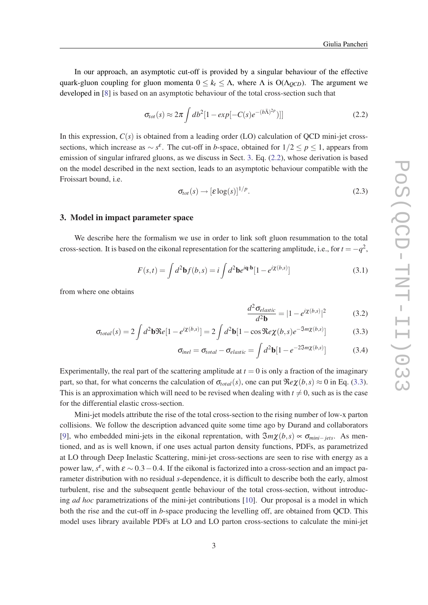In our approach, an asymptotic cut-off is provided by a singular behaviour of the effective quark-gluon coupling for gluon momenta  $0 \leq k_t \leq \Lambda$ , where  $\Lambda$  is  $O(\Lambda_{QCD})$ . The argument we developed in [\[8\]](#page-7-0) is based on an asymptotic behaviour of the total cross-section such that

$$
\sigma_{tot}(s) \approx 2\pi \int db^2 [1 - exp[-C(s)e^{-(b\bar{\Lambda})^{2p}})] \qquad (2.2)
$$

In this expression,  $C(s)$  is obtained from a leading order (LO) calculation of QCD mini-jet crosssections, which increase as  $\sim s^{\epsilon}$ . The cut-off in *b*-space, obtained for  $1/2 \le p \le 1$ , appears from emission of singular infrared gluons, as we discuss in Sect. 3. Eq. (2.2), whose derivation is based on the model described in the next section, leads to an asymptotic behaviour compatible with the Froissart bound, i.e.

$$
\sigma_{tot}(s) \to [\varepsilon \log(s)]^{1/p}.
$$
\n(2.3)

#### 3. Model in impact parameter space

We describe here the formalism we use in order to link soft gluon resummation to the total cross-section. It is based on the eikonal representation for the scattering amplitude, i.e., for  $t = -q^2$ ,

$$
F(s,t) = \int d^2\mathbf{b}f(b,s) = i \int d^2\mathbf{b}e^{i\mathbf{q}\cdot\mathbf{b}} [1 - e^{i\chi(b,s)}]
$$
(3.1)

from where one obtains

$$
\frac{d^2 \sigma_{elastic}}{d^2 \mathbf{b}} = |1 - e^{i\chi(b,s)}|^2 \tag{3.2}
$$

$$
\sigma_{total}(s) = 2 \int d^2 \mathbf{b} \Re e[1 - e^{i\chi(b,s)}] = 2 \int d^2 \mathbf{b} [1 - \cos \Re e \chi(b,s) e^{-\Im m \chi(b,s)}]
$$
(3.3)

$$
\sigma_{inel} = \sigma_{total} - \sigma_{elastic} = \int d^2 \mathbf{b} [1 - e^{-2\Im m \chi(b,s)}]
$$
(3.4)

Experimentally, the real part of the scattering amplitude at  $t = 0$  is only a fraction of the imaginary part, so that, for what concerns the calculation of  $\sigma_{total}(s)$ , one can put  $\Re e\chi(b,s) \approx 0$  in Eq. (3.3). This is an approximation which will need to be revised when dealing with  $t \neq 0$ , such as is the case for the differential elastic cross-section.

Mini-jet models attribute the rise of the total cross-section to the rising number of low-x parton collisions. We follow the description advanced quite some time ago by Durand and collaborators [[9](#page-7-0)], who embedded mini-jets in the eikonal reprentation, with  $\Im m\chi(b,s) \propto \sigma_{min-jets}$ . As mentioned, and as is well known, if one uses actual parton density functions, PDFs, as parametrized at LO through Deep Inelastic Scattering, mini-jet cross-sections are seen to rise with energy as a power law,  $s^{\varepsilon}$ , with  $\varepsilon \sim 0.3 - 0.4$ . If the eikonal is factorized into a cross-section and an impact parameter distribution with no residual *s*-dependence, it is difficult to describe both the early, almost turbulent, rise and the subsequent gentle behaviour of the total cross-section, without introducing *ad hoc* parametrizations of the mini-jet contributions [[10\]](#page-7-0). Our proposal is a model in which both the rise and the cut-off in *b*-space producing the levelling off, are obtained from QCD. This model uses library available PDFs at LO and LO parton cross-sections to calculate the mini-jet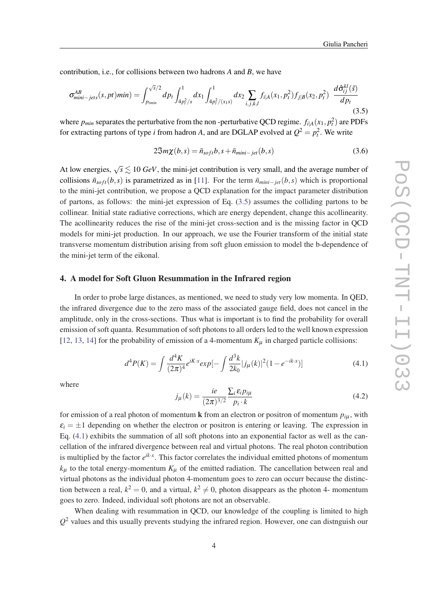<span id="page-3-0"></span>contribution, i.e., for collisions between two hadrons *A* and *B*, we have

$$
\sigma_{mini-jets}^{AB}(s,pt)min) = \int_{p_{tmin}}^{\sqrt{s}/2} dp_t \int_{4p_t^2/s}^1 dx_1 \int_{4p_t^2/(x_1s)}^1 dx_2 \sum_{i,j,k,l} f_{i|A}(x_1,p_t^2) f_{j|B}(x_2,p_t^2) \frac{d\hat{\sigma}_{ij}^{kl}(\hat{s})}{dp_t}
$$
\n(3.5)

where  $p_{min}$  separates the perturbative from the non-perturbative QCD regime.  $f_{i|A}(x_1, p_t^2)$  are PDFs for extracting partons of type *i* from hadron *A*, and are DGLAP evolved at  $Q^2 = p_t^2$ . We write

$$
2\mathfrak{S}m\chi(b,s) = \bar{n}_{soft}b, s + \bar{n}_{mini-jet}(b,s)
$$
\n(3.6)

At low energies,  $\sqrt{s} \lesssim 10 \text{ GeV}$ , the mini-jet contribution is very small, and the average number of collisions  $\bar{n}_{soft}(b,s)$  is parametrized as in [[11\]](#page-7-0). For the term  $\bar{n}_{mini-jet}(b,s)$  which is proportional to the mini-jet contribution, we propose a QCD explanation for the impact parameter distribution of partons, as follows: the mini-jet expression of Eq.  $(3.5)$  assumes the colliding partons to be collinear. Initial state radiative corrections, which are energy dependent, change this acollinearity. The acollinearity reduces the rise of the mini-jet cross-section and is the missing factor in QCD models for mini-jet production. In our approach, we use the Fourier transform of the initial state transverse momentum distribution arising from soft gluon emission to model the b-dependence of the mini-jet term of the eikonal.

#### 4. A model for Soft Gluon Resummation in the Infrared region

In order to probe large distances, as mentioned, we need to study very low momenta. In QED, the infrared divergence due to the zero mass of the associated gauge field, does not cancel in the amplitude, only in the cross-sections. Thus what is important is to find the probability for overall emission of soft quanta. Resummation of soft photons to all orders led to the well known expression [[12,](#page-7-0) [13](#page-7-0), [14\]](#page-7-0) for the probability of emission of a 4-momentum  $K_{\mu}$  in charged particle collisions:

$$
d^4P(K) = \int \frac{d^4K}{(2\pi)^4} e^{iK \cdot x} exp[-\int \frac{d^3k}{2k_0} |j_\mu(k)|^2 (1 - e^{-ik \cdot x})]
$$
(4.1)

where

$$
j_{\mu}(k) = \frac{ie}{(2\pi)^{3/2}} \frac{\sum_{i} \varepsilon_{i} p_{i\mu}}{p_{i} \cdot k}
$$
(4.2)

for emission of a real photon of momentum **k** from an electron or positron of momentum  $p_{i\mu}$ , with  $\varepsilon_i = \pm 1$  depending on whether the electron or positron is entering or leaving. The expression in Eq. (4.1) exhibits the summation of all soft photons into an exponential factor as well as the cancellation of the infrared divergence between real and virtual photons. The real photon contribution is multiplied by the factor  $e^{ik \cdot x}$ . This factor correlates the individual emitted photons of momentum  $k<sub>\mu</sub>$  to the total energy-momentum  $K<sub>\mu</sub>$  of the emitted radiation. The cancellation between real and virtual photons as the individual photon 4-momentum goes to zero can occurr because the distinction between a real,  $k^2 = 0$ , and a virtual,  $k^2 \neq 0$ , photon disappears as the photon 4- momentum goes to zero. Indeed, individual soft photons are not an observable.

When dealing with resummation in QCD, our knowledge of the coupling is limited to high  $Q<sup>2</sup>$  values and this usually prevents studying the infrared region. However, one can distnguish our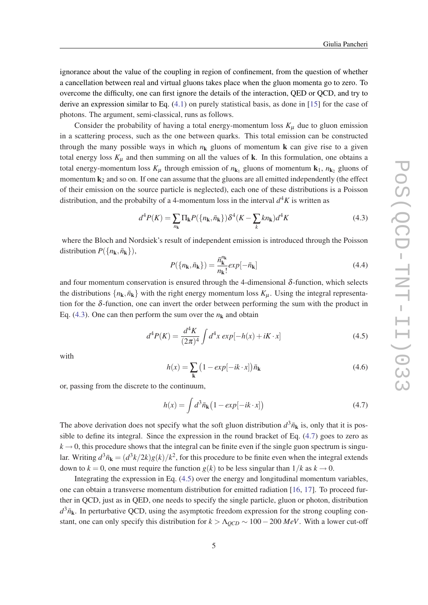<span id="page-4-0"></span>ignorance about the value of the coupling in region of confinement, from the question of whether a cancellation between real and virtual gluons takes place when the gluon momenta go to zero. To overcome the difficulty, one can first ignore the details of the interaction, QED or QCD, and try to derive an expression similar to Eq. ([4.1](#page-3-0)) on purely statistical basis, as done in [\[15](#page-7-0)] for the case of photons. The argument, semi-classical, runs as follows.

Consider the probability of having a total energy-momentum loss  $K_{\mu}$  due to gluon emission in a scattering process, such as the one between quarks. This total emission can be constructed through the many possible ways in which  $n_k$  gluons of momentum k can give rise to a given total energy loss  $K_{\mu}$  and then summing on all the values of **k**. In this formulation, one obtains a total energy-momentum loss  $K_{\mu}$  through emission of  $n_{\mathbf{k}_1}$  gluons of momentum  $\mathbf{k}_1$ ,  $n_{\mathbf{k}_2}$  gluons of momentum  $k_2$  and so on. If one can assume that the gluons are all emitted independently (the effect of their emission on the source particle is neglected), each one of these distributions is a Poisson distribution, and the probabilty of a 4-momentum loss in the interval  $d^4K$  is written as

$$
d^4P(K) = \sum_{n_k} \Pi_k P(\{n_k, \bar{n}_k\}) \delta^4(K - \sum_k kn_k) d^4K
$$
\n(4.3)

where the Bloch and Nordsiek's result of independent emission is introduced through the Poisson distribution  $P({n_k, \bar{n}_k})$ ,

$$
P(\lbrace n_{\mathbf{k}}, \bar{n}_{\mathbf{k}} \rbrace) = \frac{\bar{n}_{\mathbf{k}}^{n_{\mathbf{k}}}}{n_{\mathbf{k}}!} \exp[-\bar{n}_{\mathbf{k}}]
$$
(4.4)

and four momentum conservation is ensured through the 4-dimensional  $\delta$ -function, which selects the distributions  $\{n_k, \bar{n}_k\}$  with the right energy momentum loss  $K_\mu$ . Using the integral representation for the  $\delta$ -function, one can invert the order between performing the sum with the product in Eq. (4.3). One can then perform the sum over the  $n_k$  and obtain

$$
d^{4}P(K) = \frac{d^{4}K}{(2\pi)^{4}} \int d^{4}x \exp[-h(x) + iK \cdot x]
$$
\n(4.5)

with

$$
h(x) = \sum_{\mathbf{k}} (1 - exp[-ik \cdot x]) \bar{n}_{\mathbf{k}}
$$
\n(4.6)

or, passing from the discrete to the continuum,

$$
h(x) = \int d^3 \bar{n}_{\mathbf{k}} \left( 1 - exp[-ik \cdot x] \right) \tag{4.7}
$$

The above derivation does not specify what the soft gluon distribution  $d^3\bar{n}_k$  is, only that it is possible to define its integral. Since the expression in the round bracket of Eq. (4.7) goes to zero as  $k \rightarrow 0$ , this procedure shows that the integral can be finite even if the single guon spectrum is singular. Writing  $d^3\bar{n}_{\bf k}=(d^3k/2k)g(k)/k^2$ , for this procedure to be finite even when the integral extends down to  $k = 0$ , one must require the function  $g(k)$  to be less singular than  $1/k$  as  $k \to 0$ .

Integrating the expression in Eq. (4.5) over the energy and longitudinal momentum variables, one can obtain a transverse momentum distribution for emitted radiation [[16,](#page-7-0) [17](#page-7-0)]. To proceed further in QCD, just as in QED, one needs to specify the single particle, gluon or photon, distribution  $d^3\bar{n}_k$ . In perturbative QCD, using the asymptotic freedom expression for the strong coupling constant, one can only specify this distribution for  $k > \Lambda_{QCD} \sim 100 - 200 \; MeV$ . With a lower cut-off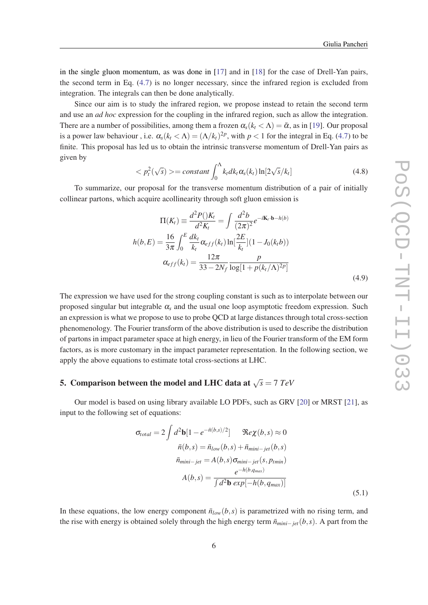in the single gluon momentum, as was done in [\[17\]](#page-7-0) and in [\[18](#page-7-0)] for the case of Drell-Yan pairs, the second term in Eq. [\(4.7\)](#page-4-0) is no longer necessary, since the infrared region is excluded from integration. The integrals can then be done analytically.

Since our aim is to study the infrared region, we propose instead to retain the second term and use an *ad hoc* expression for the coupling in the infrared region, such as allow the integration. There are a number of possibilities, among them a frozen  $\alpha_s (k_t < \Lambda) = \bar{\alpha}$ , as in [\[19](#page-7-0)]. Our proposal is a power law behaviour, i.e.  $\alpha_s (k_t < \Lambda) = (\Lambda / k_t)^{2p}$ , with  $p < 1$  for the integral in Eq. ([4.7](#page-4-0)) to be finite. This proposal has led us to obtain the intrinsic transverse momentum of Drell-Yan pairs as given by

$$
\langle p_t^2(\sqrt{s}) \rangle = constant \int_0^{\Lambda} k_t dk_t \alpha_s(k_t) \ln[2\sqrt{s}/k_t]
$$
\n(4.8)

To summarize, our proposal for the transverse momentum distribution of a pair of initially collinear partons, which acquire acollinearity through soft gluon emission is

$$
\Pi(K_t) \equiv \frac{d^2 P() K_t}{d^2 K_t} = \int \frac{d^2 b}{(2\pi)^2} e^{-i\mathbf{K}_t \cdot \mathbf{b} - h(b)}
$$

$$
h(b, E) = \frac{16}{3\pi} \int_0^E \frac{dk_t}{k_t} \alpha_{eff}(k_t) \ln[\frac{2E}{k_t}] (1 - J_0(k_t b))
$$

$$
\alpha_{eff}(k_t) = \frac{12\pi}{33 - 2N_f} \frac{p}{\log[1 + p(k_t/\Lambda)^{2p}]}
$$
(4.9)

The expression we have used for the strong coupling constant is such as to interpolate between our proposed singular but integrable  $\alpha_s$  and the usual one loop asymptotic freedom expression. Such an expression is what we propose to use to probe QCD at large distances through total cross-section phenomenology. The Fourier transform of the above distribution is used to describe the distribution of partons in impact parameter space at high energy, in lieu of the Fourier transform of the EM form factors, as is more customary in the impact parameter representation. In the following section, we apply the above equations to estimate total cross-sections at LHC.

## 5. Comparison between the model and LHC data at  $\sqrt{s} = 7~TeV$

Our model is based on using library available LO PDFs, such as GRV [[20\]](#page-7-0) or MRST [[21\]](#page-7-0), as input to the following set of equations:

$$
\sigma_{total} = 2 \int d^2 \mathbf{b} [1 - e^{-\bar{n}(b,s)/2}] \qquad \Re e \chi(b,s) \approx 0
$$

$$
\bar{n}(b,s) = \bar{n}_{low}(b,s) + \bar{n}_{min-jet}(b,s)
$$

$$
\bar{n}_{min-jet} = A(b,s) \sigma_{min-jet}(s, p_{tmin})
$$

$$
A(b,s) = \frac{e^{-h(b,q_{max})}}{\int d^2 \mathbf{b} \exp[-h(b,q_{max})]}
$$
(5.1)

In these equations, the low energy component  $\bar{n}_{low}(b,s)$  is parametrized with no rising term, and the rise with energy is obtained solely through the high energy term  $\bar{n}_{min-jet}(b, s)$ . A part from the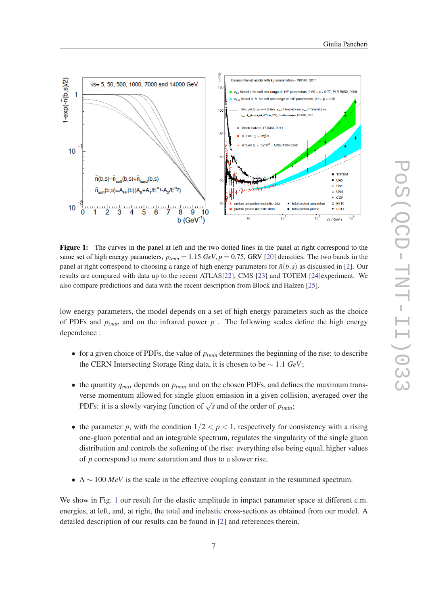

Figure 1: The curves in the panel at left and the two dotted lines in the panel at right correspond to the same set of high energy parameters,  $p_{tmin} = 1.15 \text{ GeV}, p = 0.75$ , GRV [[20\]](#page-7-0) densities. The two bands in the panel at right correspond to choosing a range of high energy parameters for  $\bar{n}(b, s)$  as discussed in [\[2](#page-7-0)]. Our results are compared with data up to the recent ATLAS[\[22](#page-7-0)], CMS [\[23\]](#page-7-0) and TOTEM [\[24](#page-7-0)]experiment. We also compare predictions and data with the recent description from Block and Halzen [[25\]](#page-7-0).

low energy parameters, the model depends on a set of high energy parameters such as the choice of PDFs and  $p_{tmin}$  and on the infrared power  $p$ . The following scales define the high energy dependence :

- for a given choice of PDFs, the value of *ptmin* determines the beginning of the rise: to describe the CERN Intersecting Storage Ring data, it is chosen to be ∼ 1.1 *GeV*;
- the quantity  $q_{max}$  depends on  $p_{tmin}$  and on the chosen PDFs, and defines the maximum transverse momentum allowed for single gluon emission in a given collision, averaged over the PDFs: it is a slowly varying function of  $\sqrt{s}$  and of the order of  $p_{\text{tmin}}$ ;
- the parameter *p*, with the condition  $1/2 < p < 1$ , respectively for consistency with a rising one-gluon potential and an integrable spectrum, regulates the singularity of the single gluon distribution and controls the softening of the rise: everything else being equal, higher values of *p* correspond to more saturation and thus to a slower rise,
- $\Lambda \sim 100 \text{ MeV}$  is the scale in the effective coupling constant in the resummed spectrum.

We show in Fig. 1 our result for the elastic amplitude in impact parameter space at different c.m. energies, at left, and, at right, the total and inelastic cross-sections as obtained from our model. A detailed description of our results can be found in [\[2](#page-7-0)] and references therein.